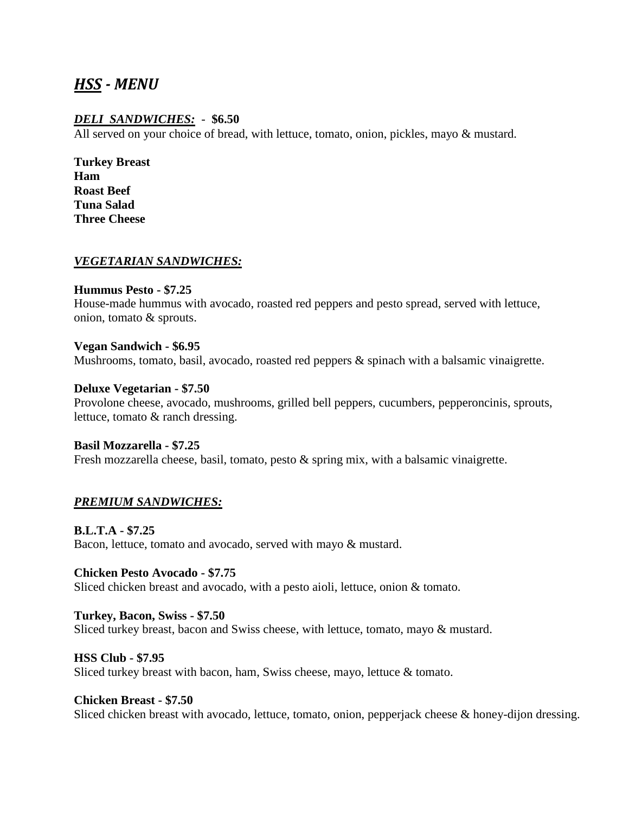# *HSS - MENU*

# *DELI SANDWICHES:* - **\$6.50**

All served on your choice of bread, with lettuce, tomato, onion, pickles, mayo & mustard.

**Turkey Breast Ham Roast Beef Tuna Salad Three Cheese** 

#### *VEGETARIAN SANDWICHES:*

**Hummus Pesto - \$7.25** 

House-made hummus with avocado, roasted red peppers and pesto spread, served with lettuce, onion, tomato & sprouts.

#### **Vegan Sandwich - \$6.95**

Mushrooms, tomato, basil, avocado, roasted red peppers & spinach with a balsamic vinaigrette.

#### **Deluxe Vegetarian - \$7.50**

Provolone cheese, avocado, mushrooms, grilled bell peppers, cucumbers, pepperoncinis, sprouts, lettuce, tomato & ranch dressing.

#### **Basil Mozzarella - \$7.25**

Fresh mozzarella cheese, basil, tomato, pesto & spring mix, with a balsamic vinaigrette.

#### *PREMIUM SANDWICHES:*

**B.L.T.A - \$7.25**  Bacon, lettuce, tomato and avocado, served with mayo & mustard.

**Chicken Pesto Avocado - \$7.75**  Sliced chicken breast and avocado, with a pesto aioli, lettuce, onion & tomato.

#### **Turkey, Bacon, Swiss - \$7.50**

Sliced turkey breast, bacon and Swiss cheese, with lettuce, tomato, mayo & mustard.

#### **HSS Club - \$7.95**

Sliced turkey breast with bacon, ham, Swiss cheese, mayo, lettuce & tomato.

#### **Chicken Breast - \$7.50**

Sliced chicken breast with avocado, lettuce, tomato, onion, pepperjack cheese & honey-dijon dressing.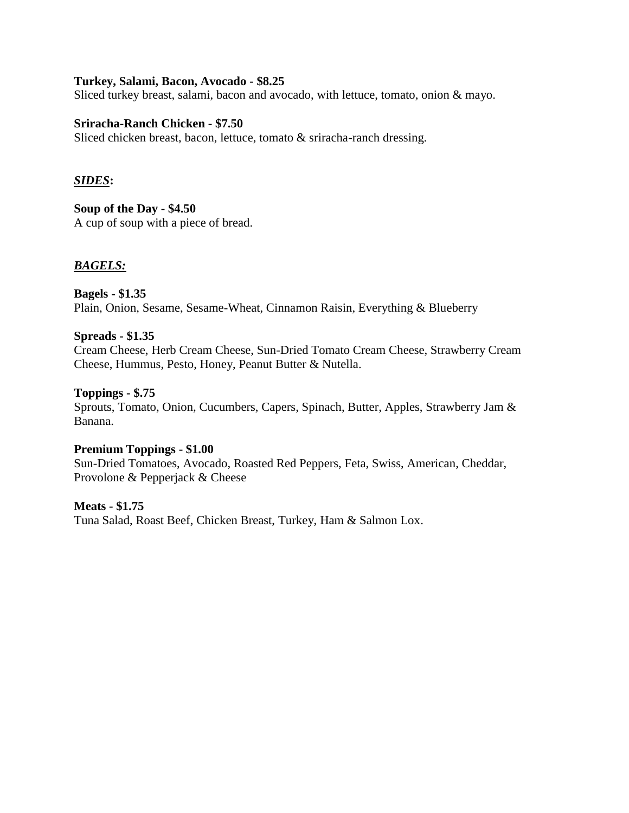#### **Turkey, Salami, Bacon, Avocado - \$8.25**

Sliced turkey breast, salami, bacon and avocado, with lettuce, tomato, onion & mayo.

#### **Sriracha-Ranch Chicken - \$7.50**

Sliced chicken breast, bacon, lettuce, tomato & sriracha-ranch dressing.

### *SIDES***:**

#### **Soup of the Day - \$4.50**

A cup of soup with a piece of bread.

### *BAGELS:*

## **Bagels - \$1.35**  Plain, Onion, Sesame, Sesame-Wheat, Cinnamon Raisin, Everything & Blueberry

#### **Spreads - \$1.35**

Cream Cheese, Herb Cream Cheese, Sun-Dried Tomato Cream Cheese, Strawberry Cream Cheese, Hummus, Pesto, Honey, Peanut Butter & Nutella.

#### **Toppings - \$.75**

Sprouts, Tomato, Onion, Cucumbers, Capers, Spinach, Butter, Apples, Strawberry Jam & Banana.

#### **Premium Toppings - \$1.00**

Sun-Dried Tomatoes, Avocado, Roasted Red Peppers, Feta, Swiss, American, Cheddar, Provolone & Pepperjack & Cheese

#### **Meats - \$1.75**

Tuna Salad, Roast Beef, Chicken Breast, Turkey, Ham & Salmon Lox.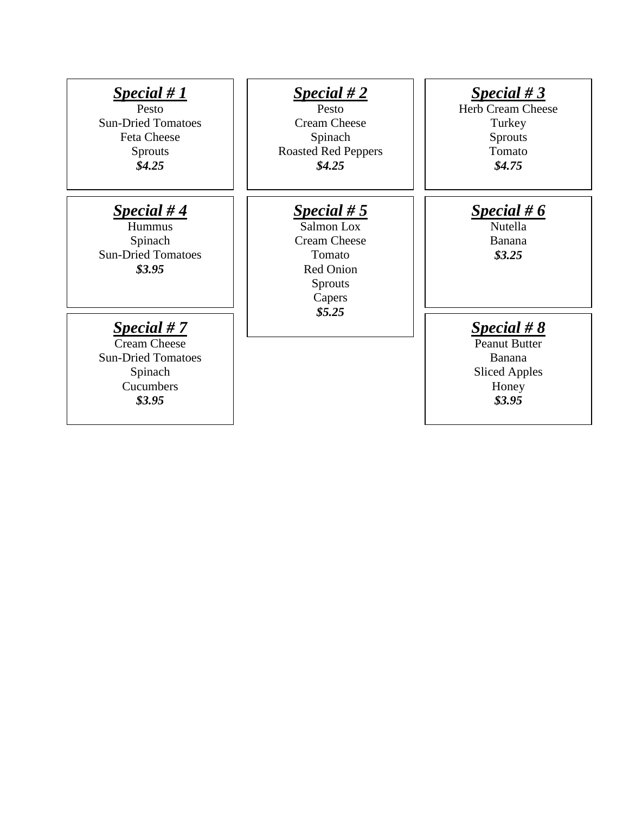| Special # $1$<br>Pesto<br><b>Sun-Dried Tomatoes</b><br><b>Feta Cheese</b><br><b>Sprouts</b><br>\$4.25 | Special #2<br>Pesto<br><b>Cream Cheese</b><br>Spinach<br><b>Roasted Red Peppers</b><br>\$4.25                | Special #3<br><b>Herb Cream Cheese</b><br>Turkey<br><b>Sprouts</b><br>Tomato<br>\$4.75     |
|-------------------------------------------------------------------------------------------------------|--------------------------------------------------------------------------------------------------------------|--------------------------------------------------------------------------------------------|
| Special #4<br>Hummus<br>Spinach<br><b>Sun-Dried Tomatoes</b><br>\$3.95                                | Special $# 5$<br>Salmon Lox<br><b>Cream Cheese</b><br>Tomato<br><b>Red Onion</b><br><b>Sprouts</b><br>Capers | Special # $6$<br>Nutella<br>Banana<br>\$3.25                                               |
| Special $# 7$<br><b>Cream Cheese</b><br><b>Sun-Dried Tomatoes</b><br>Spinach<br>Cucumbers<br>\$3.95   | \$5.25                                                                                                       | Special # $8$<br><b>Peanut Butter</b><br>Banana<br><b>Sliced Apples</b><br>Honey<br>\$3.95 |